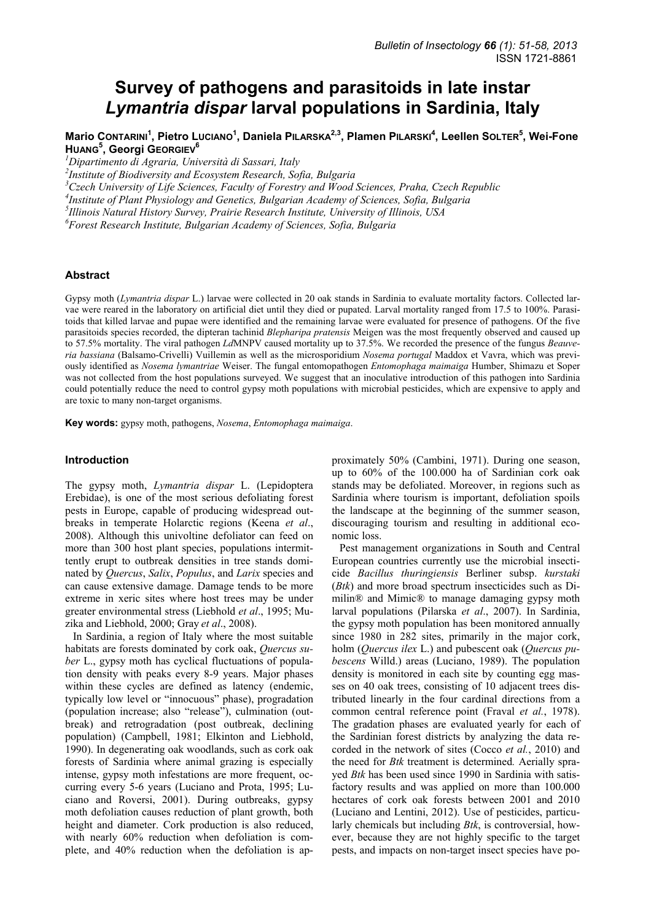# **Survey of pathogens and parasitoids in late instar**  *Lymantria dispar* **larval populations in Sardinia, Italy**

**Mario CONTARINI<sup>1</sup> , Pietro LUCIANO<sup>1</sup> , Daniela PILARSKA2,3, Plamen PILARSKI4 , Leellen SOLTER5 , Wei-Fone HUANG5 , Georgi GEORGIEV6**

*1 Dipartimento di Agraria, Università di Sassari, Italy* 

*2 Institute of Biodiversity and Ecosystem Research, Sofia, Bulgaria* 

<sup>3</sup> Czech University of Life Sciences, Faculty of Forestry and Wood Sciences, Praha, Czech Republic 4<br><sup>4</sup> Institute of Plant Physiology and Ganatias, Pulgarian Agadamy of Sciences, Sofia, Pulgaria

*Institute of Plant Physiology and Genetics, Bulgarian Academy of Sciences, Sofia, Bulgaria* 

*5 Illinois Natural History Survey, Prairie Research Institute, University of Illinois, USA* 

*6 Forest Research Institute, Bulgarian Academy of Sciences, Sofia, Bulgaria* 

#### **Abstract**

Gypsy moth (*Lymantria dispar* L.) larvae were collected in 20 oak stands in Sardinia to evaluate mortality factors. Collected larvae were reared in the laboratory on artificial diet until they died or pupated. Larval mortality ranged from 17.5 to 100%. Parasitoids that killed larvae and pupae were identified and the remaining larvae were evaluated for presence of pathogens. Of the five parasitoids species recorded, the dipteran tachinid *Blepharipa pratensis* Meigen was the most frequently observed and caused up to 57.5% mortality. The viral pathogen *Ld*MNPV caused mortality up to 37.5%. We recorded the presence of the fungus *Beauveria bassiana* (Balsamo-Crivelli) Vuillemin as well as the microsporidium *Nosema portugal* Maddox et Vavra, which was previously identified as *Nosema lymantriae* Weiser. The fungal entomopathogen *Entomophaga maimaiga* Humber, Shimazu et Soper was not collected from the host populations surveyed. We suggest that an inoculative introduction of this pathogen into Sardinia could potentially reduce the need to control gypsy moth populations with microbial pesticides, which are expensive to apply and are toxic to many non-target organisms.

**Key words:** gypsy moth, pathogens, *Nosema*, *Entomophaga maimaiga*.

### **Introduction**

The gypsy moth, *Lymantria dispar* L. (Lepidoptera Erebidae), is one of the most serious defoliating forest pests in Europe, capable of producing widespread outbreaks in temperate Holarctic regions (Keena *et al*., 2008). Although this univoltine defoliator can feed on more than 300 host plant species, populations intermittently erupt to outbreak densities in tree stands dominated by *Quercus*, *Salix*, *Populus*, and *Larix* species and can cause extensive damage. Damage tends to be more extreme in xeric sites where host trees may be under greater environmental stress (Liebhold *et al*., 1995; Muzika and Liebhold, 2000; Gray *et al*., 2008).

In Sardinia, a region of Italy where the most suitable habitats are forests dominated by cork oak, *Quercus suber* L., gypsy moth has cyclical fluctuations of population density with peaks every 8-9 years. Major phases within these cycles are defined as latency (endemic, typically low level or "innocuous" phase), progradation (population increase; also "release"), culmination (outbreak) and retrogradation (post outbreak, declining population) (Campbell, 1981; Elkinton and Liebhold, 1990). In degenerating oak woodlands, such as cork oak forests of Sardinia where animal grazing is especially intense, gypsy moth infestations are more frequent, occurring every 5-6 years (Luciano and Prota, 1995; Luciano and Roversi, 2001). During outbreaks, gypsy moth defoliation causes reduction of plant growth, both height and diameter. Cork production is also reduced, with nearly 60% reduction when defoliation is complete, and 40% reduction when the defoliation is ap-

proximately 50% (Cambini, 1971). During one season, up to 60% of the 100.000 ha of Sardinian cork oak stands may be defoliated. Moreover, in regions such as Sardinia where tourism is important, defoliation spoils the landscape at the beginning of the summer season, discouraging tourism and resulting in additional economic loss.

Pest management organizations in South and Central European countries currently use the microbial insecticide *Bacillus thuringiensis* Berliner subsp. *kurstaki* (*Btk*) and more broad spectrum insecticides such as Dimilin® and Mimic® to manage damaging gypsy moth larval populations (Pilarska *et al*., 2007). In Sardinia, the gypsy moth population has been monitored annually since 1980 in 282 sites, primarily in the major cork, holm (*Quercus ilex* L.) and pubescent oak (*Quercus pubescens* Willd.) areas (Luciano, 1989). The population density is monitored in each site by counting egg masses on 40 oak trees, consisting of 10 adjacent trees distributed linearly in the four cardinal directions from a common central reference point (Fraval *et al.*, 1978). The gradation phases are evaluated yearly for each of the Sardinian forest districts by analyzing the data recorded in the network of sites (Cocco *et al.*, 2010) and the need for *Btk* treatment is determined*.* Aerially sprayed *Btk* has been used since 1990 in Sardinia with satisfactory results and was applied on more than 100.000 hectares of cork oak forests between 2001 and 2010 (Luciano and Lentini, 2012). Use of pesticides, particularly chemicals but including *Btk*, is controversial, however, because they are not highly specific to the target pests, and impacts on non-target insect species have po-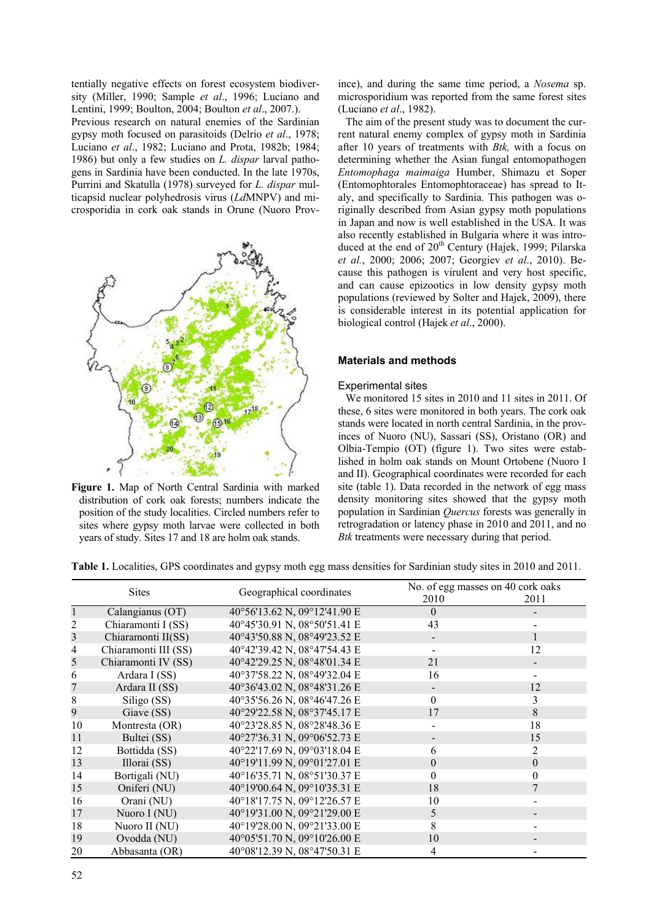tentially negative effects on forest ecosystem biodiversity (Miller, 1990; Sample *et al*., 1996; Luciano and Lentini, 1999; Boulton, 2004; Boulton *et al*., 2007.). Previous research on natural enemies of the Sardinian gypsy moth focused on parasitoids (Delrio *et al*., 1978; Luciano *et al*., 1982; Luciano and Prota, 1982b; 1984; 1986) but only a few studies on *L. dispar* larval pathogens in Sardinia have been conducted. In the late 1970s, Purrini and Skatulla (1978) surveyed for *L. dispar* multicapsid nuclear polyhedrosis virus (*Ld*MNPV) and microsporidia in cork oak stands in Orune (Nuoro Prov-



**Figure 1.** Map of North Central Sardinia with marked distribution of cork oak forests; numbers indicate the position of the study localities. Circled numbers refer to sites where gypsy moth larvae were collected in both years of study. Sites 17 and 18 are holm oak stands.

ince), and during the same time period, a *Nosema* sp. microsporidium was reported from the same forest sites (Luciano *et al*., 1982).

The aim of the present study was to document the current natural enemy complex of gypsy moth in Sardinia after 10 years of treatments with *Btk,* with a focus on determining whether the Asian fungal entomopathogen *Entomophaga maimaiga* Humber, Shimazu et Soper (Entomophtorales Entomophtoraceae) has spread to Italy, and specifically to Sardinia. This pathogen was originally described from Asian gypsy moth populations in Japan and now is well established in the USA. It was also recently established in Bulgaria where it was introduced at the end of 20<sup>th</sup> Century (Hajek, 1999; Pilarska *et al.*, 2000; 2006; 2007; Georgiev *et al*., 2010). Because this pathogen is virulent and very host specific, and can cause epizootics in low density gypsy moth populations (reviewed by Solter and Hajek, 2009), there is considerable interest in its potential application for biological control (Hajek *et al*., 2000).

# **Materials and methods**

# Experimental sites

We monitored 15 sites in 2010 and 11 sites in 2011. Of these, 6 sites were monitored in both years. The cork oak stands were located in north central Sardinia, in the provinces of Nuoro (NU), Sassari (SS), Oristano (OR) and Olbia-Tempio (OT) (figure 1). Two sites were established in holm oak stands on Mount Ortobene (Nuoro I and II). Geographical coordinates were recorded for each site (table 1). Data recorded in the network of egg mass density monitoring sites showed that the gypsy moth population in Sardinian *Quercus* forests was generally in retrogradation or latency phase in 2010 and 2011, and no *Btk* treatments were necessary during that period.

**Table 1.** Localities, GPS coordinates and gypsy moth egg mass densities for Sardinian study sites in 2010 and 2011.

| <b>Sites</b>   |                      | Geographical coordinates     | No. of egg masses on 40 cork oaks |          |  |
|----------------|----------------------|------------------------------|-----------------------------------|----------|--|
|                |                      |                              | 2010                              | 2011     |  |
|                | Calangianus (OT)     | 40°56'13.62 N, 09°12'41.90 E | $\theta$                          |          |  |
| $\overline{2}$ | Chiaramonti I (SS)   | 40°45'30.91 N, 08°50'51.41 E | 43                                |          |  |
| $\mathfrak{Z}$ | Chiaramonti II(SS)   | 40°43'50.88 N, 08°49'23.52 E |                                   |          |  |
| 4              | Chiaramonti III (SS) | 40°42'39.42 N, 08°47'54.43 E |                                   | 12       |  |
| 5              | Chiaramonti IV (SS)  | 40°42'29.25 N, 08°48'01.34 E | 21                                |          |  |
| 6              | Ardara I (SS)        | 40°37'58.22 N, 08°49'32.04 E | 16                                |          |  |
| 7              | Ardara II (SS)       | 40°36'43.02 N, 08°48'31.26 E |                                   | 12       |  |
| 8              | Siligo (SS)          | 40°35'56.26 N, 08°46'47.26 E | $\Omega$                          | 3        |  |
| 9              | Giave (SS)           | 40°29'22.58 N, 08°37'45.17 E | 17                                | 8        |  |
| 10             | Montresta (OR)       | 40°23'28.85 N, 08°28'48.36 E |                                   | 18       |  |
| 11             | Bultei (SS)          | 40°27'36.31 N, 09°06'52.73 E |                                   | 15       |  |
| 12             | Bottidda (SS)        | 40°22'17.69 N, 09°03'18.04 E | 6                                 |          |  |
| 13             | Illorai (SS)         | 40°19'11.99 N, 09°01'27.01 E | $\mathbf{0}$                      | $\theta$ |  |
| 14             | Bortigali (NU)       | 40°16'35.71 N, 08°51'30.37 E | 0                                 | 0        |  |
| 15             | Oniferi (NU)         | 40°19′00.64 N, 09°10′35.31 E | 18                                | 7        |  |
| 16             | Orani (NU)           | 40°18'17.75 N, 09°12'26.57 E | 10                                |          |  |
| 17             | Nuoro I (NU)         | 40°19'31.00 N, 09°21'29.00 E | 5                                 |          |  |
| 18             | Nuoro II (NU)        | 40°19'28.00 N, 09°21'33.00 E | 8                                 |          |  |
| 19             | Ovodda (NU)          | 40°05'51.70 N, 09°10'26.00 E | 10                                |          |  |
| 20             | Abbasanta (OR)       | 40°08'12.39 N, 08°47'50.31 E | 4                                 |          |  |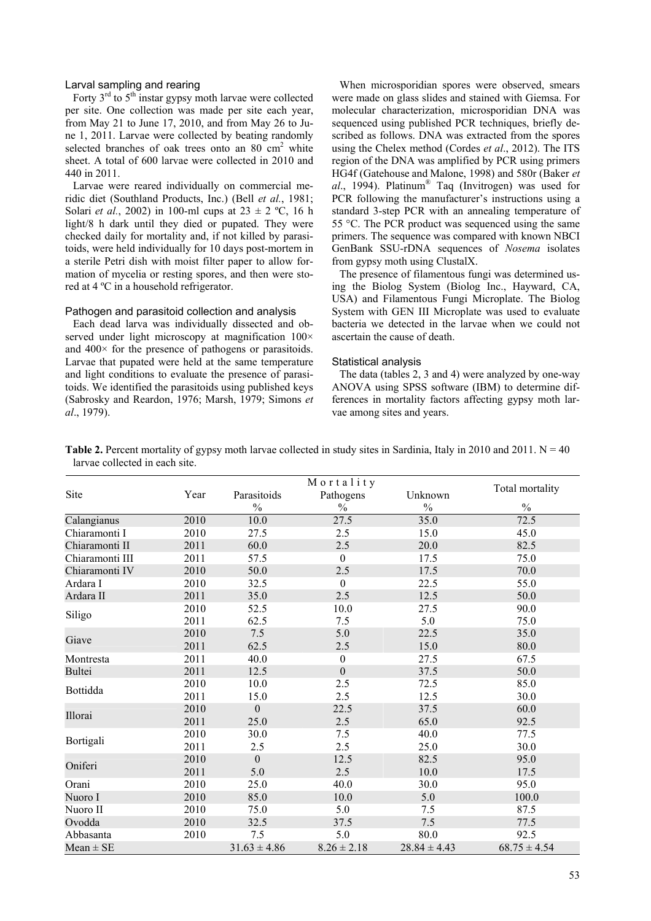#### Larval sampling and rearing

Forty  $3<sup>rd</sup>$  to  $5<sup>th</sup>$  instar gypsy moth larvae were collected per site. One collection was made per site each year, from May 21 to June 17, 2010, and from May 26 to June 1, 2011. Larvae were collected by beating randomly selected branches of oak trees onto an  $80 \text{ cm}^2$  white sheet. A total of 600 larvae were collected in 2010 and 440 in 2011.

Larvae were reared individually on commercial meridic diet (Southland Products, Inc.) (Bell *et al.*, 1981; Solari *et al.*, 2002) in 100-ml cups at  $23 \pm 2$  °C, 16 h light/8 h dark until they died or pupated. They were checked daily for mortality and, if not killed by parasitoids, were held individually for 10 days post-mortem in a sterile Petri dish with moist filter paper to allow formation of mycelia or resting spores, and then were stored at 4 ºC in a household refrigerator.

#### Pathogen and parasitoid collection and analysis

Each dead larva was individually dissected and observed under light microscopy at magnification  $100 \times$ and 400× for the presence of pathogens or parasitoids. Larvae that pupated were held at the same temperature and light conditions to evaluate the presence of parasitoids. We identified the parasitoids using published keys (Sabrosky and Reardon, 1976; Marsh, 1979; Simons *et al*., 1979).

When microsporidian spores were observed, smears were made on glass slides and stained with Giemsa. For molecular characterization, microsporidian DNA was sequenced using published PCR techniques, briefly described as follows. DNA was extracted from the spores using the Chelex method (Cordes *et al*., 2012). The ITS region of the DNA was amplified by PCR using primers HG4f (Gatehouse and Malone, 1998) and 580r (Baker *et al*., 1994). Platinum® Taq (Invitrogen) was used for PCR following the manufacturer's instructions using a standard 3-step PCR with an annealing temperature of 55 °C. The PCR product was sequenced using the same primers. The sequence was compared with known NBCI GenBank SSU-rDNA sequences of *Nosema* isolates from gypsy moth using ClustalX.

The presence of filamentous fungi was determined using the Biolog System (Biolog Inc., Hayward, CA, USA) and Filamentous Fungi Microplate. The Biolog System with GEN III Microplate was used to evaluate bacteria we detected in the larvae when we could not ascertain the cause of death.

#### Statistical analysis

The data (tables 2, 3 and 4) were analyzed by one-way ANOVA using SPSS software (IBM) to determine differences in mortality factors affecting gypsy moth larvae among sites and years.

| Table 2. Percent mortality of gypsy moth larvae collected in study sites in Sardinia, Italy in 2010 and 2011. $N = 40$ |  |  |
|------------------------------------------------------------------------------------------------------------------------|--|--|
| larvae collected in each site.                                                                                         |  |  |

| Site            | Year | Parasitoids      | Mortality<br>Pathogens | Unknown          | Total mortality  |
|-----------------|------|------------------|------------------------|------------------|------------------|
|                 |      | $\frac{0}{0}$    | $\frac{0}{0}$          | $\frac{0}{0}$    | $\frac{0}{0}$    |
| Calangianus     | 2010 | 10.0             | 27.5                   | 35.0             | 72.5             |
| Chiaramonti I   | 2010 | 27.5             | 2.5                    | 15.0             | 45.0             |
| Chiaramonti II  | 2011 | 60.0             | 2.5                    | 20.0             | 82.5             |
| Chiaramonti III | 2011 | 57.5             | $\mathbf{0}$           | 17.5             | 75.0             |
| Chiaramonti IV  | 2010 | 50.0             | 2.5                    | 17.5             | 70.0             |
| Ardara I        | 2010 | 32.5             | $\boldsymbol{0}$       | 22.5             | 55.0             |
| Ardara II       | 2011 | 35.0             | 2.5                    | 12.5             | 50.0             |
|                 | 2010 | 52.5             | 10.0                   | 27.5             | 90.0             |
| Siligo          | 2011 | 62.5             | 7.5                    | 5.0              | 75.0             |
| Giave           | 2010 | 7.5              | 5.0                    | 22.5             | 35.0             |
|                 | 2011 | 62.5             | 2.5                    | 15.0             | 80.0             |
| Montresta       | 2011 | 40.0             | $\boldsymbol{0}$       | 27.5             | 67.5             |
| <b>Bultei</b>   | 2011 | 12.5             | $\boldsymbol{0}$       | 37.5             | 50.0             |
| Bottidda        | 2010 | 10.0             | 2.5                    | 72.5             | 85.0             |
|                 | 2011 | 15.0             | 2.5                    | 12.5             | 30.0             |
| Illorai         | 2010 | $\boldsymbol{0}$ | 22.5                   | 37.5             | 60.0             |
|                 | 2011 | 25.0             | 2.5                    | 65.0             | 92.5             |
|                 | 2010 | 30.0             | 7.5                    | 40.0             | 77.5             |
| Bortigali       | 2011 | 2.5              | 2.5                    | 25.0             | 30.0             |
| Oniferi         | 2010 | $\boldsymbol{0}$ | 12.5                   | 82.5             | 95.0             |
|                 | 2011 | 5.0              | 2.5                    | 10.0             | 17.5             |
| Orani           | 2010 | 25.0             | 40.0                   | 30.0             | 95.0             |
| Nuoro I         | 2010 | 85.0             | 10.0                   | 5.0              | 100.0            |
| Nuoro II        | 2010 | 75.0             | 5.0                    | 7.5              | 87.5             |
| Ovodda          | 2010 | 32.5             | 37.5                   | 7.5              | 77.5             |
| Abbasanta       | 2010 | 7.5              | 5.0                    | 80.0             | 92.5             |
| $Mean \pm SE$   |      | $31.63 \pm 4.86$ | $8.26 \pm 2.18$        | $28.84 \pm 4.43$ | $68.75 \pm 4.54$ |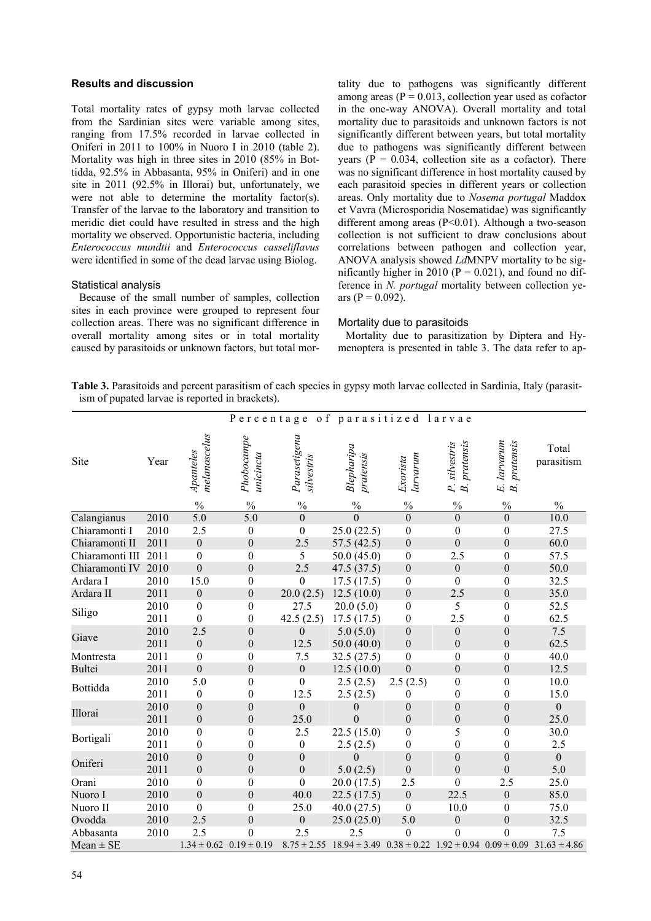#### **Results and discussion**

Total mortality rates of gypsy moth larvae collected from the Sardinian sites were variable among sites, ranging from 17.5% recorded in larvae collected in Oniferi in 2011 to 100% in Nuoro I in 2010 (table 2). Mortality was high in three sites in 2010 (85% in Bottidda, 92.5% in Abbasanta, 95% in Oniferi) and in one site in 2011 (92.5% in Illorai) but, unfortunately, we were not able to determine the mortality factor(s). Transfer of the larvae to the laboratory and transition to meridic diet could have resulted in stress and the high mortality we observed. Opportunistic bacteria, including *Enterococcus mundtii* and *Enterococcus casseliflavus*  were identified in some of the dead larvae using Biolog.

#### Statistical analysis

Because of the small number of samples, collection sites in each province were grouped to represent four collection areas. There was no significant difference in overall mortality among sites or in total mortality caused by parasitoids or unknown factors, but total mortality due to pathogens was significantly different among areas ( $P = 0.013$ , collection year used as cofactor in the one-way ANOVA). Overall mortality and total mortality due to parasitoids and unknown factors is not significantly different between years, but total mortality due to pathogens was significantly different between years ( $P = 0.034$ , collection site as a cofactor). There was no significant difference in host mortality caused by each parasitoid species in different years or collection areas. Only mortality due to *Nosema portugal* Maddox et Vavra (Microsporidia Nosematidae) was significantly different among areas (P<0.01). Although a two-season collection is not sufficient to draw conclusions about correlations between pathogen and collection year, ANOVA analysis showed *Ld*MNPV mortality to be significantly higher in 2010 ( $P = 0.021$ ), and found no difference in *N. portugal* mortality between collection years ( $P = 0.092$ ).

# Mortality due to parasitoids

Mortality due to parasitization by Diptera and Hymenoptera is presented in table 3. The data refer to ap-

**Table 3.** Parasitoids and percent parasitism of each species in gypsy moth larvae collected in Sardinia, Italy (parasitism of pupated larvae is reported in brackets).

| Percentage<br>of parasitized larvae |      |                           |                                 |                            |                                                                                                   |                      |                                  |                                          |                     |
|-------------------------------------|------|---------------------------|---------------------------------|----------------------------|---------------------------------------------------------------------------------------------------|----------------------|----------------------------------|------------------------------------------|---------------------|
| Site                                | Year | melanoscelus<br>Apanteles | Phobocampe<br>unicincta         | Parasetigena<br>silvestris | Blepharipa<br>pratensis                                                                           | larvarum<br>Exorista | pratensis<br>P. silvestris<br>B. | E. larvarum<br>B. pratensis<br>pratensis | Total<br>parasitism |
|                                     |      | $\frac{0}{0}$             | $\frac{0}{0}$                   | $\frac{0}{0}$              | $\frac{0}{0}$                                                                                     | $\frac{0}{0}$        | $\frac{0}{0}$                    | $\frac{0}{0}$                            | $\frac{0}{0}$       |
| Calangianus                         | 2010 | 5.0                       | 5.0                             | $\mathbf{0}$               | $\mathbf{0}$                                                                                      | $\mathbf{0}$         | $\boldsymbol{0}$                 | $\mathbf{0}$                             | 10.0                |
| Chiaramonti I                       | 2010 | 2.5                       | $\boldsymbol{0}$                | $\boldsymbol{0}$           | 25.0(22.5)                                                                                        | $\boldsymbol{0}$     | $\boldsymbol{0}$                 | $\boldsymbol{0}$                         | 27.5                |
| Chiaramonti II                      | 2011 | $\boldsymbol{0}$          | $\boldsymbol{0}$                | 2.5                        | 57.5(42.5)                                                                                        | $\boldsymbol{0}$     | $\boldsymbol{0}$                 | $\boldsymbol{0}$                         | 60.0                |
| Chiaramonti III                     | 2011 | $\boldsymbol{0}$          | $\boldsymbol{0}$                | 5                          | 50.0(45.0)                                                                                        | $\boldsymbol{0}$     | 2.5                              | $\boldsymbol{0}$                         | 57.5                |
| Chiaramonti IV                      | 2010 | $\boldsymbol{0}$          | $\boldsymbol{0}$                | 2.5                        | 47.5(37.5)                                                                                        | $\boldsymbol{0}$     | $\boldsymbol{0}$                 | $\boldsymbol{0}$                         | 50.0                |
| Ardara I                            | 2010 | 15.0                      | $\boldsymbol{0}$                | $\boldsymbol{0}$           | 17.5(17.5)                                                                                        | $\boldsymbol{0}$     | $\boldsymbol{0}$                 | $\boldsymbol{0}$                         | 32.5                |
| Ardara II                           | 2011 | $\boldsymbol{0}$          | $\boldsymbol{0}$                | 20.0(2.5)                  | 12.5(10.0)                                                                                        | $\mathbf{0}$         | 2.5                              | $\boldsymbol{0}$                         | 35.0                |
| Siligo                              | 2010 | $\boldsymbol{0}$          | $\boldsymbol{0}$                | 27.5                       | 20.0(5.0)                                                                                         | $\boldsymbol{0}$     | 5                                | $\boldsymbol{0}$                         | 52.5                |
|                                     | 2011 | $\boldsymbol{0}$          | $\boldsymbol{0}$                | 42.5(2.5)                  | 17.5(17.5)                                                                                        | $\boldsymbol{0}$     | 2.5                              | $\boldsymbol{0}$                         | 62.5                |
| Giave                               | 2010 | 2.5                       | $\boldsymbol{0}$                | $\overline{0}$             | 5.0(5.0)                                                                                          | $\boldsymbol{0}$     | $\boldsymbol{0}$                 | $\boldsymbol{0}$                         | 7.5                 |
|                                     | 2011 | $\boldsymbol{0}$          | $\boldsymbol{0}$                | 12.5                       | 50.0(40.0)                                                                                        | $\boldsymbol{0}$     | $\boldsymbol{0}$                 | $\boldsymbol{0}$                         | 62.5                |
| Montresta                           | 2011 | $\boldsymbol{0}$          | $\boldsymbol{0}$                | 7.5                        | 32.5(27.5)                                                                                        | $\boldsymbol{0}$     | $\boldsymbol{0}$                 | $\boldsymbol{0}$                         | 40.0                |
| <b>Bultei</b>                       | 2011 | $\mathbf{0}$              | $\boldsymbol{0}$                | $\mathbf{0}$               | 12.5(10.0)                                                                                        | $\mathbf{0}$         | $\boldsymbol{0}$                 | $\boldsymbol{0}$                         | 12.5                |
| Bottidda                            | 2010 | 5.0                       | $\boldsymbol{0}$                | $\boldsymbol{0}$           | 2.5(2.5)                                                                                          | 2.5(2.5)             | $\boldsymbol{0}$                 | $\boldsymbol{0}$                         | 10.0                |
|                                     | 2011 | $\boldsymbol{0}$          | $\boldsymbol{0}$                | 12.5                       | 2.5(2.5)                                                                                          | $\boldsymbol{0}$     | $\boldsymbol{0}$                 | $\boldsymbol{0}$                         | 15.0                |
| Illorai                             | 2010 | $\boldsymbol{0}$          | $\boldsymbol{0}$                | $\boldsymbol{0}$           | $\boldsymbol{0}$                                                                                  | $\boldsymbol{0}$     | $\boldsymbol{0}$                 | $\boldsymbol{0}$                         | $\boldsymbol{0}$    |
|                                     | 2011 | $\mathbf{0}$              | $\boldsymbol{0}$                | 25.0                       | $\boldsymbol{0}$                                                                                  | $\mathbf{0}$         | $\boldsymbol{0}$                 | $\mathbf{0}$                             | 25.0                |
| Bortigali                           | 2010 | $\boldsymbol{0}$          | $\boldsymbol{0}$                | 2.5                        | 22.5(15.0)                                                                                        | $\boldsymbol{0}$     | 5                                | $\boldsymbol{0}$                         | 30.0                |
|                                     | 2011 | $\boldsymbol{0}$          | $\boldsymbol{0}$                | $\boldsymbol{0}$           | 2.5(2.5)                                                                                          | $\boldsymbol{0}$     | $\boldsymbol{0}$                 | $\boldsymbol{0}$                         | 2.5                 |
| Oniferi                             | 2010 | $\boldsymbol{0}$          | $\boldsymbol{0}$                | $\boldsymbol{0}$           | $\theta$                                                                                          | $\mathbf{0}$         | $\boldsymbol{0}$                 | $\boldsymbol{0}$                         | $\mathbf{0}$        |
|                                     | 2011 | $\boldsymbol{0}$          | $\boldsymbol{0}$                | $\boldsymbol{0}$           | 5.0(2.5)                                                                                          | $\mathbf{0}$         | $\boldsymbol{0}$                 | $\mathbf{0}$                             | 5.0                 |
| Orani                               | 2010 | $\boldsymbol{0}$          | $\boldsymbol{0}$                | $\boldsymbol{0}$           | 20.0(17.5)                                                                                        | 2.5                  | $\boldsymbol{0}$                 | 2.5                                      | 25.0                |
| Nuoro I                             | 2010 | $\boldsymbol{0}$          | $\boldsymbol{0}$                | 40.0                       | 22.5(17.5)                                                                                        | $\boldsymbol{0}$     | 22.5                             | $\mathbf{0}$                             | 85.0                |
| Nuoro II                            | 2010 | $\boldsymbol{0}$          | $\boldsymbol{0}$                | 25.0                       | 40.0(27.5)                                                                                        | $\boldsymbol{0}$     | 10.0                             | $\boldsymbol{0}$                         | 75.0                |
| Ovodda                              | 2010 | 2.5                       | $\boldsymbol{0}$                | $\boldsymbol{0}$           | 25.0(25.0)                                                                                        | 5.0                  | $\boldsymbol{0}$                 | $\boldsymbol{0}$                         | 32.5                |
| Abbasanta                           | 2010 | 2.5                       | $\boldsymbol{0}$                | 2.5                        | 2.5                                                                                               | $\theta$             | $\boldsymbol{0}$                 | $\theta$                                 | 7.5                 |
| $Mean \pm SE$                       |      |                           | $1.34 \pm 0.62$ $0.19 \pm 0.19$ |                            | $8.75 \pm 2.55$ $18.94 \pm 3.49$ $0.38 \pm 0.22$ $1.92 \pm 0.94$ $0.09 \pm 0.09$ $31.63 \pm 4.86$ |                      |                                  |                                          |                     |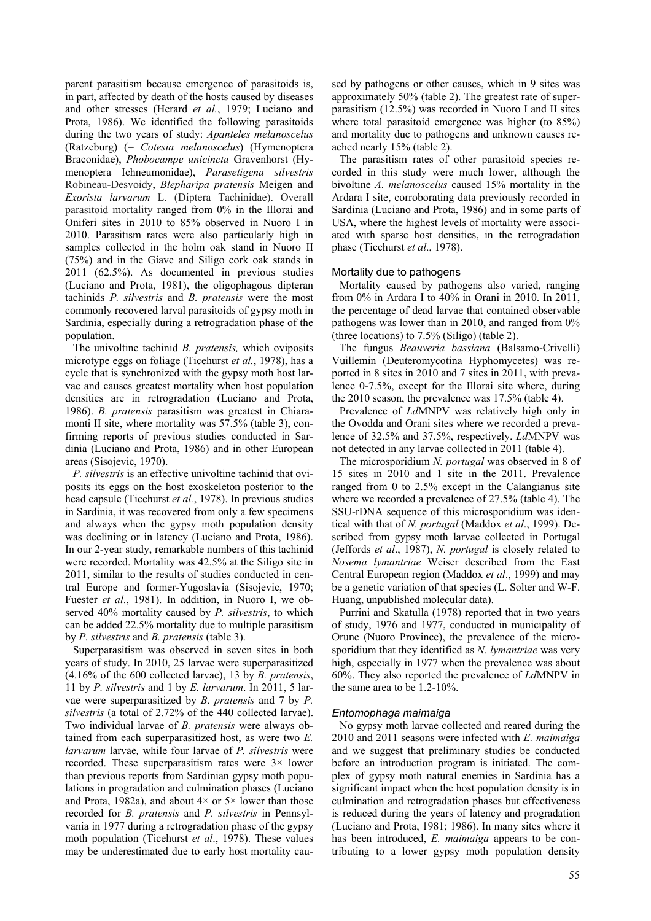parent parasitism because emergence of parasitoids is, in part, affected by death of the hosts caused by diseases and other stresses (Herard *et al.*, 1979; Luciano and Prota, 1986). We identified the following parasitoids during the two years of study: *Apanteles melanoscelus* (Ratzeburg) (= *Cotesia melanoscelus*) (Hymenoptera Braconidae), *Phobocampe unicincta* Gravenhorst (Hymenoptera Ichneumonidae), *Parasetigena silvestris* Robineau-Desvoidy, *Blepharipa pratensis* Meigen and *Exorista larvarum* L. (Diptera Tachinidae). Overall parasitoid mortality ranged from 0% in the Illorai and Oniferi sites in 2010 to 85% observed in Nuoro I in 2010. Parasitism rates were also particularly high in samples collected in the holm oak stand in Nuoro II (75%) and in the Giave and Siligo cork oak stands in 2011 (62.5%). As documented in previous studies (Luciano and Prota, 1981), the oligophagous dipteran tachinids *P. silvestris* and *B. pratensis* were the most commonly recovered larval parasitoids of gypsy moth in Sardinia, especially during a retrogradation phase of the population.

The univoltine tachinid *B. pratensis,* which oviposits microtype eggs on foliage (Ticehurst *et al.*, 1978), has a cycle that is synchronized with the gypsy moth host larvae and causes greatest mortality when host population densities are in retrogradation (Luciano and Prota, 1986). *B. pratensis* parasitism was greatest in Chiaramonti II site, where mortality was 57.5% (table 3), confirming reports of previous studies conducted in Sardinia (Luciano and Prota, 1986) and in other European areas (Sisojevic, 1970).

*P. silvestris* is an effective univoltine tachinid that oviposits its eggs on the host exoskeleton posterior to the head capsule (Ticehurst *et al.*, 1978). In previous studies in Sardinia, it was recovered from only a few specimens and always when the gypsy moth population density was declining or in latency (Luciano and Prota, 1986). In our 2-year study, remarkable numbers of this tachinid were recorded. Mortality was 42.5% at the Siligo site in 2011, similar to the results of studies conducted in central Europe and former-Yugoslavia (Sisojevic, 1970; Fuester *et al*., 1981). In addition, in Nuoro I, we observed 40% mortality caused by *P. silvestris*, to which can be added 22.5% mortality due to multiple parasitism by *P. silvestris* and *B. pratensis* (table 3).

Superparasitism was observed in seven sites in both years of study. In 2010, 25 larvae were superparasitized (4.16% of the 600 collected larvae), 13 by *B. pratensis*, 11 by *P. silvestris* and 1 by *E. larvarum*. In 2011, 5 larvae were superparasitized by *B. pratensis* and 7 by *P. silvestris* (a total of 2.72% of the 440 collected larvae). Two individual larvae of *B. pratensis* were always obtained from each superparasitized host, as were two *E. larvarum* larvae*,* while four larvae of *P. silvestris* were recorded. These superparasitism rates were  $3 \times$  lower than previous reports from Sardinian gypsy moth populations in progradation and culmination phases (Luciano and Prota, 1982a), and about  $4 \times$  or  $5 \times$  lower than those recorded for *B. pratensis* and *P. silvestris* in Pennsylvania in 1977 during a retrogradation phase of the gypsy moth population (Ticehurst *et al*., 1978). These values may be underestimated due to early host mortality cau-

sed by pathogens or other causes, which in 9 sites was approximately 50% (table 2). The greatest rate of superparasitism (12.5%) was recorded in Nuoro I and II sites where total parasitoid emergence was higher (to 85%) and mortality due to pathogens and unknown causes reached nearly 15% (table 2).

The parasitism rates of other parasitoid species recorded in this study were much lower, although the bivoltine *A. melanoscelus* caused 15% mortality in the Ardara I site, corroborating data previously recorded in Sardinia (Luciano and Prota, 1986) and in some parts of USA, where the highest levels of mortality were associated with sparse host densities, in the retrogradation phase (Ticehurst *et al*., 1978).

# Mortality due to pathogens

Mortality caused by pathogens also varied, ranging from 0% in Ardara I to 40% in Orani in 2010. In 2011, the percentage of dead larvae that contained observable pathogens was lower than in 2010, and ranged from 0% (three locations) to 7.5% (Siligo) (table 2).

The fungus *Beauveria bassiana* (Balsamo-Crivelli) Vuillemin (Deuteromycotina Hyphomycetes) was reported in 8 sites in 2010 and 7 sites in 2011, with prevalence 0-7.5%, except for the Illorai site where, during the 2010 season, the prevalence was 17.5% (table 4).

Prevalence of *Ld*MNPV was relatively high only in the Ovodda and Orani sites where we recorded a prevalence of 32.5% and 37.5%, respectively. *Ld*MNPV was not detected in any larvae collected in 2011 (table 4).

The microsporidium *N. portugal* was observed in 8 of 15 sites in 2010 and 1 site in the 2011. Prevalence ranged from 0 to 2.5% except in the Calangianus site where we recorded a prevalence of 27.5% (table 4). The SSU-rDNA sequence of this microsporidium was identical with that of *N. portugal* (Maddox *et al*., 1999). Described from gypsy moth larvae collected in Portugal (Jeffords *et al*., 1987), *N. portugal* is closely related to *Nosema lymantriae* Weiser described from the East Central European region (Maddox *et al*., 1999) and may be a genetic variation of that species (L. Solter and W-F. Huang, unpublished molecular data).

Purrini and Skatulla (1978) reported that in two years of study, 1976 and 1977, conducted in municipality of Orune (Nuoro Province), the prevalence of the microsporidium that they identified as *N. lymantriae* was very high, especially in 1977 when the prevalence was about 60%. They also reported the prevalence of *Ld*MNPV in the same area to be 1.2-10%.

#### *Entomophaga maimaiga*

No gypsy moth larvae collected and reared during the 2010 and 2011 seasons were infected with *E. maimaiga* and we suggest that preliminary studies be conducted before an introduction program is initiated. The complex of gypsy moth natural enemies in Sardinia has a significant impact when the host population density is in culmination and retrogradation phases but effectiveness is reduced during the years of latency and progradation (Luciano and Prota, 1981; 1986). In many sites where it has been introduced, *E. maimaiga* appears to be contributing to a lower gypsy moth population density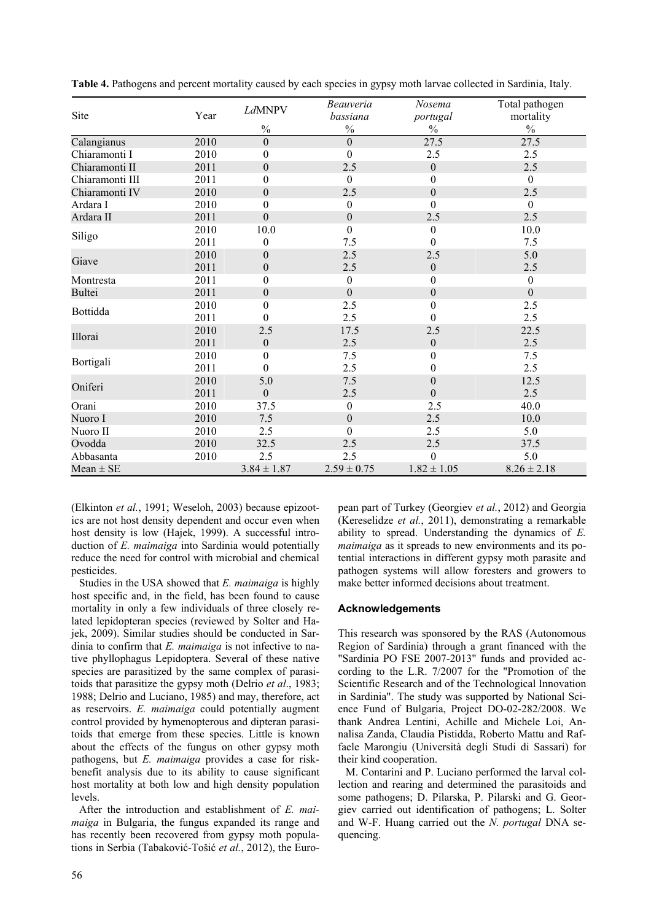|                 |      |                  | Beauveria        | Nosema           | Total pathogen  |
|-----------------|------|------------------|------------------|------------------|-----------------|
| Site            | Year | <b>LdMNPV</b>    | bassiana         | portugal         | mortality       |
|                 |      | $\frac{0}{0}$    | $\frac{0}{0}$    | $\%$             | $\frac{0}{0}$   |
| Calangianus     | 2010 | $\mathbf{0}$     | $\theta$         | 27.5             | 27.5            |
| Chiaramonti I   | 2010 | $\boldsymbol{0}$ | $\boldsymbol{0}$ | 2.5              | 2.5             |
| Chiaramonti II  | 2011 | $\boldsymbol{0}$ | 2.5              | $\boldsymbol{0}$ | 2.5             |
| Chiaramonti III | 2011 | $\boldsymbol{0}$ | $\theta$         | $\boldsymbol{0}$ | $\theta$        |
| Chiaramonti IV  | 2010 | $\mathbf{0}$     | 2.5              | $\mathbf{0}$     | 2.5             |
| Ardara I        | 2010 | $\boldsymbol{0}$ | $\boldsymbol{0}$ | $\boldsymbol{0}$ | $\theta$        |
| Ardara II       | 2011 | $\overline{0}$   | $\mathbf{0}$     | 2.5              | 2.5             |
|                 | 2010 | 10.0             | $\mathbf{0}$     | $\mathbf{0}$     | 10.0            |
| Siligo          | 2011 | $\boldsymbol{0}$ | 7.5              | $\theta$         | 7.5             |
| Giave           | 2010 | $\boldsymbol{0}$ | 2.5              | 2.5              | 5.0             |
|                 | 2011 | $\boldsymbol{0}$ | 2.5              | $\boldsymbol{0}$ | 2.5             |
| Montresta       | 2011 | $\boldsymbol{0}$ | $\boldsymbol{0}$ | $\boldsymbol{0}$ | $\mathbf{0}$    |
| <b>Bultei</b>   | 2011 | $\boldsymbol{0}$ | $\mathbf{0}$     | $\mathbf{0}$     | $\overline{0}$  |
| Bottidda        | 2010 | $\boldsymbol{0}$ | 2.5              | $\boldsymbol{0}$ | 2.5             |
|                 | 2011 | $\mathbf{0}$     | 2.5              | $\theta$         | 2.5             |
| Illorai         | 2010 | 2.5              | 17.5             | 2.5              | 22.5            |
|                 | 2011 | $\boldsymbol{0}$ | 2.5              | $\boldsymbol{0}$ | 2.5             |
|                 | 2010 | $\boldsymbol{0}$ | 7.5              | 0                | 7.5             |
| Bortigali       | 2011 | $\boldsymbol{0}$ | 2.5              | $\boldsymbol{0}$ | 2.5             |
| Oniferi         | 2010 | 5.0              | 7.5              | $\boldsymbol{0}$ | 12.5            |
|                 | 2011 | $\boldsymbol{0}$ | 2.5              | $\boldsymbol{0}$ | 2.5             |
| Orani           | 2010 | 37.5             | $\mathbf{0}$     | 2.5              | 40.0            |
| Nuoro I         | 2010 | 7.5              | $\boldsymbol{0}$ | 2.5              | 10.0            |
| Nuoro II        | 2010 | 2.5              | $\mathbf{0}$     | 2.5              | 5.0             |
| Ovodda          | 2010 | 32.5             | 2.5              | 2.5              | 37.5            |
| Abbasanta       | 2010 | 2.5              | 2.5              | $\theta$         | 5.0             |
| $Mean \pm SE$   |      | $3.84 \pm 1.87$  | $2.59 \pm 0.75$  | $1.82 \pm 1.05$  | $8.26 \pm 2.18$ |

**Table 4.** Pathogens and percent mortality caused by each species in gypsy moth larvae collected in Sardinia, Italy.

(Elkinton *et al.*, 1991; Weseloh, 2003) because epizootics are not host density dependent and occur even when host density is low (Hajek, 1999). A successful introduction of *E. maimaiga* into Sardinia would potentially reduce the need for control with microbial and chemical pesticides.

Studies in the USA showed that *E. maimaiga* is highly host specific and, in the field, has been found to cause mortality in only a few individuals of three closely related lepidopteran species (reviewed by Solter and Hajek, 2009). Similar studies should be conducted in Sardinia to confirm that *E. maimaiga* is not infective to native phyllophagus Lepidoptera. Several of these native species are parasitized by the same complex of parasitoids that parasitize the gypsy moth (Delrio *et al*., 1983; 1988; Delrio and Luciano, 1985) and may, therefore, act as reservoirs. *E. maimaiga* could potentially augment control provided by hymenopterous and dipteran parasitoids that emerge from these species. Little is known about the effects of the fungus on other gypsy moth pathogens, but *E. maimaiga* provides a case for riskbenefit analysis due to its ability to cause significant host mortality at both low and high density population levels.

After the introduction and establishment of *E. maimaiga* in Bulgaria, the fungus expanded its range and has recently been recovered from gypsy moth populations in Serbia (Tabaković-Tošić *et al.*, 2012), the European part of Turkey (Georgiev *et al.*, 2012) and Georgia (Kereselidze *et al.*, 2011), demonstrating a remarkable ability to spread. Understanding the dynamics of *E. maimaiga* as it spreads to new environments and its potential interactions in different gypsy moth parasite and pathogen systems will allow foresters and growers to make better informed decisions about treatment.

# **Acknowledgements**

This research was sponsored by the RAS (Autonomous Region of Sardinia) through a grant financed with the "Sardinia PO FSE 2007-2013" funds and provided according to the L.R. 7/2007 for the "Promotion of the Scientific Research and of the Technological Innovation in Sardinia". The study was supported by National Science Fund of Bulgaria, Project DO-02-282/2008. We thank Andrea Lentini, Achille and Michele Loi, Annalisa Zanda, Claudia Pistidda, Roberto Mattu and Raffaele Marongiu (Università degli Studi di Sassari) for their kind cooperation.

M. Contarini and P. Luciano performed the larval collection and rearing and determined the parasitoids and some pathogens; D. Pilarska, P. Pilarski and G. Georgiev carried out identification of pathogens; L. Solter and W-F. Huang carried out the *N. portugal* DNA sequencing.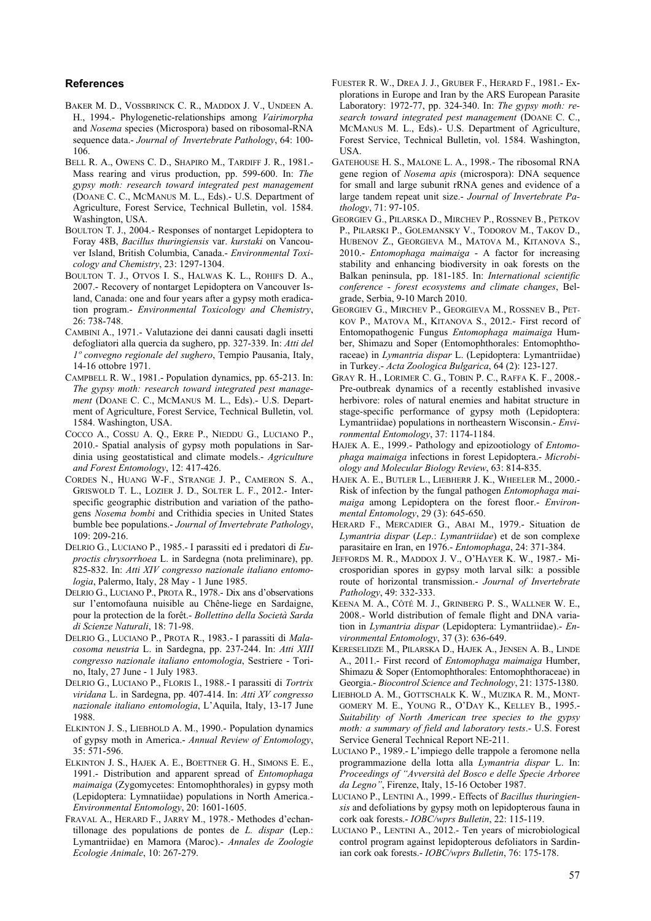#### **References**

- BAKER M. D., VOSSBRINCK C. R., MADDOX J. V., UNDEEN A. H., 1994.- Phylogenetic-relationships among *Vairimorpha* and *Nosema* species (Microspora) based on ribosomal-RNA sequence data.- *Journal of Invertebrate Pathology*, 64: 100- 106.
- BELL R. A., OWENS C. D., SHAPIRO M., TARDIFF J. R., 1981.- Mass rearing and virus production, pp. 599-600. In: *The gypsy moth: research toward integrated pest management* (DOANE C. C., MCMANUS M. L., Eds).- U.S. Department of Agriculture, Forest Service, Technical Bulletin, vol. 1584. Washington, USA.
- BOULTON T. J., 2004.- Responses of nontarget Lepidoptera to Foray 48B, *Bacillus thuringiensis* var. *kurstaki* on Vancouver Island, British Columbia, Canada.- *Environmental Toxicology and Chemistry*, 23: 1297-1304.
- BOULTON T. J., OTVOS I. S., HALWAS K. L., ROHIFS D. A., 2007.- Recovery of nontarget Lepidoptera on Vancouver Island, Canada: one and four years after a gypsy moth eradication program.- *Environmental Toxicology and Chemistry*, 26: 738-748.
- CAMBINI A., 1971.- Valutazione dei danni causati dagli insetti defogliatori alla quercia da sughero, pp. 327-339. In: *Atti del 1º convegno regionale del sughero*, Tempio Pausania, Italy, 14-16 ottobre 1971.
- CAMPBELL R. W., 1981.- Population dynamics, pp. 65-213. In: *The gypsy moth: research toward integrated pest management* (DOANE C. C., MCMANUS M. L., Eds).- U.S. Department of Agriculture, Forest Service, Technical Bulletin, vol. 1584. Washington, USA.
- COCCO A., COSSU A. Q., ERRE P., NIEDDU G., LUCIANO P., 2010.- Spatial analysis of gypsy moth populations in Sardinia using geostatistical and climate models.- *Agriculture and Forest Entomology*, 12: 417-426.
- CORDES N., HUANG W-F., STRANGE J. P., CAMERON S. A., GRISWOLD T. L., LOZIER J. D., SOLTER L. F., 2012.- Interspecific geographic distribution and variation of the pathogens *Nosema bombi* and Crithidia species in United States bumble bee populations.- *Journal of Invertebrate Pathology*, 109: 209-216.
- DELRIO G., LUCIANO P., 1985.- I parassiti ed i predatori di *Euproctis chrysorrhoea* L. in Sardegna (nota preliminare), pp. 825-832. In: *Atti XIV congresso nazionale italiano entomologia*, Palermo, Italy, 28 May - 1 June 1985.
- DELRIO G., LUCIANO P., PROTA R., 1978.- Dix ans d'observations sur l'entomofauna nuisible au Chêne-liege en Sardaigne, pour la protection de la forêt.- *Bollettino della Società Sarda di Scienze Naturali*, 18: 71-98.
- DELRIO G., LUCIANO P., PROTA R., 1983.- I parassiti di *Malacosoma neustria* L. in Sardegna, pp. 237-244. In: *Atti XIII congresso nazionale italiano entomologia*, Sestriere - Torino, Italy, 27 June - 1 July 1983.
- DELRIO G., LUCIANO P., FLORIS I., 1988.- I parassiti di *Tortrix viridana* L. in Sardegna, pp. 407-414. In: *Atti XV congresso nazionale italiano entomologia*, L'Aquila, Italy, 13-17 June 1988.
- ELKINTON J. S., LIEBHOLD A. M., 1990.- Population dynamics of gypsy moth in America.- *Annual Review of Entomology*, 35: 571-596.
- ELKINTON J. S., HAJEK A. E., BOETTNER G. H., SIMONS E. E., 1991.- Distribution and apparent spread of *Entomophaga maimaiga* (Zygomycetes: Entomophthorales) in gypsy moth (Lepidoptera: Lymnatiidae) populations in North America.- *Environmental Entomology*, 20: 1601-1605.
- FRAVAL A., HERARD F., JARRY M., 1978.- Methodes d'echantillonage des populations de pontes de *L. dispar* (Lep.: Lymantriidae) en Mamora (Maroc).- *Annales de Zoologie Ecologie Animale*, 10: 267-279.
- FUESTER R. W., DREA J. J., GRUBER F., HERARD F., 1981.- Explorations in Europe and Iran by the ARS European Parasite Laboratory: 1972-77, pp. 324-340. In: *The gypsy moth: research toward integrated pest management* (DOANE C. C., MCMANUS M. L., Eds).- U.S. Department of Agriculture, Forest Service, Technical Bulletin, vol. 1584. Washington, USA.
- GATEHOUSE H. S., MALONE L. A., 1998.- The ribosomal RNA gene region of *Nosema apis* (microspora): DNA sequence for small and large subunit rRNA genes and evidence of a large tandem repeat unit size.- *Journal of Invertebrate Pathology*, 71: 97-105.
- GEORGIEV G., PILARSKA D., MIRCHEV P., ROSSNEV B., PETKOV P., PILARSKI P., GOLEMANSKY V., TODOROV M., TAKOV D., HUBENOV Z., GEORGIEVA M., MATOVA M., KITANOVA S., 2010.- *Entomophaga maimaiga* - A factor for increasing stability and enhancing biodiversity in oak forests on the Balkan peninsula, pp. 181-185. In: *International scientific conference - forest ecosystems and climate changes*, Belgrade, Serbia, 9-10 March 2010.
- GEORGIEV G., MIRCHEV P., GEORGIEVA M., ROSSNEV B., PET-KOV P., MATOVA M., KITANOVA S., 2012.- First record of Entomopathogenic Fungus *Entomophaga maimaiga* Humber, Shimazu and Soper (Entomophthorales: Entomophthoraceae) in *Lymantria dispar* L. (Lepidoptera: Lymantriidae) in Turkey.- *Acta Zoologica Bulgarica*, 64 (2): 123-127.
- GRAY R. H., LORIMER C. G., TOBIN P. C., RAFFA K. F., 2008.- Pre-outbreak dynamics of a recently established invasive herbivore: roles of natural enemies and habitat structure in stage-specific performance of gypsy moth (Lepidoptera: Lymantriidae) populations in northeastern Wisconsin.- *Environmental Entomology*, 37: 1174-1184.
- HAJEK A. E., 1999.- Pathology and epizootiology of *Entomophaga maimaiga* infections in forest Lepidoptera.- *Microbiology and Molecular Biology Review*, 63: 814-835.
- HAJEK A. E., BUTLER L., LIEBHERR J. K., WHEELER M., 2000.- Risk of infection by the fungal pathogen *Entomophaga maimaiga* among Lepidoptera on the forest floor.- *Environmental Entomology*, 29 (3): 645-650.
- HERARD F., MERCADIER G., ABAI M., 1979.- Situation de *Lymantria dispar* (*Lep*.: *Lymantriidae*) et de son complexe parasitaire en Iran, en 1976.- *Entomophaga*, 24: 371-384.
- JEFFORDS M. R., MADDOX J. V., O'HAYER K. W., 1987.- Microsporidian spores in gypsy moth larval silk: a possible route of horizontal transmission.- *Journal of Invertebrate Pathology*, 49: 332-333.
- KEENA M. A., CÔTÉ M. J., GRINBERG P. S., WALLNER W. E., 2008.- World distribution of female flight and DNA variation in *Lymantria dispar* (Lepidoptera: Lymantriidae).- *Environmental Entomology*, 37 (3): 636-649.
- KERESELIDZE M., PILARSKA D., HAJEK A., JENSEN A. B., LINDE A., 2011.- First record of *Entomophaga maimaiga* Humber, Shimazu & Soper (Entomophthorales: Entomophthoraceae) in Georgia.- *Biocontrol Science and Technology*, 21: 1375-1380.
- LIEBHOLD A. M., GOTTSCHALK K. W., MUZIKA R. M., MONT-GOMERY M. E., YOUNG R., O'DAY K., KELLEY B., 1995.- *Suitability of North American tree species to the gypsy moth: a summary of field and laboratory tests*.- U.S. Forest Service General Technical Report NE-211.
- LUCIANO P., 1989.- L'impiego delle trappole a feromone nella programmazione della lotta alla *Lymantria dispar* L. In: *Proceedings of "Avversità del Bosco e delle Specie Arboree da Legno"*, Firenze, Italy, 15-16 October 1987.
- LUCIANO P., LENTINI A., 1999.- Effects of *Bacillus thuringiensis* and defoliations by gypsy moth on lepidopterous fauna in cork oak forests.- *IOBC/wprs Bulletin*, 22: 115-119.
- LUCIANO P., LENTINI A., 2012.- Ten years of microbiological control program against lepidopterous defoliators in Sardinian cork oak forests.- *IOBC/wprs Bulletin*, 76: 175-178.